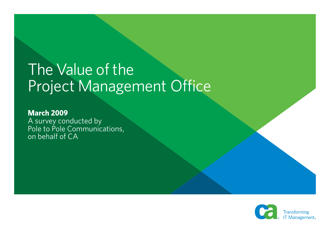# The Value of the Project Management Office

**March 2009** A survey conducted by Pole to Pole Communications, on behalf of CA

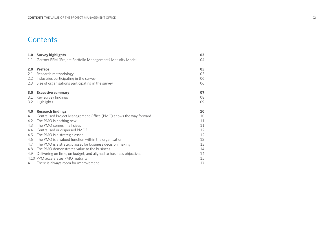# **Contents**

| 1.0               | <b>Survey highlights</b>                                                                                                                                                                                                                                       | 03                         |
|-------------------|----------------------------------------------------------------------------------------------------------------------------------------------------------------------------------------------------------------------------------------------------------------|----------------------------|
| 1.1               | Gartner PPM (Project Portfolio Management) Maturity Model                                                                                                                                                                                                      | 04                         |
| 2.0               | <b>Preface</b>                                                                                                                                                                                                                                                 | 05                         |
| 2.1               | Research methodology                                                                                                                                                                                                                                           | 05                         |
| 2.2               | Industries participating in the survey                                                                                                                                                                                                                         | 06                         |
| 2.3               | Size of organisations participating in the survey                                                                                                                                                                                                              | 06                         |
| 3.0               | <b>Executive summary</b>                                                                                                                                                                                                                                       | 07                         |
| 3.1               | Key survey findings                                                                                                                                                                                                                                            | 08                         |
| 3.2               | Highlights                                                                                                                                                                                                                                                     | 09                         |
|                   |                                                                                                                                                                                                                                                                |                            |
| 4.0               | <b>Research findings</b>                                                                                                                                                                                                                                       | 10                         |
| 4.1               | Centralised Project Management Office (PMO) shows the way forward                                                                                                                                                                                              | 10                         |
| 4.2               | The PMO is nothing new                                                                                                                                                                                                                                         | 11                         |
| 4.3               | The PMO comes in all sizes                                                                                                                                                                                                                                     | 11                         |
| 4.4               | Centralised or dispersed PMO?                                                                                                                                                                                                                                  | 12                         |
| 4.5               | The PMO is a strategic asset                                                                                                                                                                                                                                   | 12                         |
| 4.6               | The PMO is a valued function within the organisation                                                                                                                                                                                                           | 13                         |
| 4.7<br>4.8<br>4.9 | The PMO is a strategic asset for business decision making<br>The PMO demonstrates value to the business<br>Delivering on time, on budget, and aligned to business objectives<br>4.10 PPM accelerates PMO maturity<br>4.11 There is always room for improvement | 13<br>14<br>14<br>15<br>17 |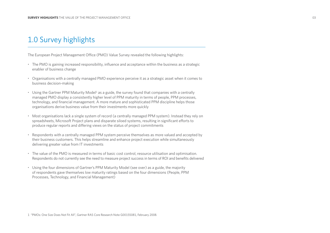# 1.0 Survey highlights

The European Project Management Office (PMO) Value Survey revealed the following highlights:

- The PMO is gaining increased responsibility, influence and acceptance within the business as a strategic enabler of business change
- Organisations with a centrally managed PMO experience perceive it as a strategic asset when it comes to business decision-making
- $\bm{\cdot}\;$  Using the Gartner PPM Maturity Model $^1$  as a guide, the survey found that companies with a centrally managed PMO display a consistently higher level of PPM maturity in terms of people, PPM processes, technology, and financial management. A more mature and sophisticated PPM discipline helps those organisations derive business value from their investments more quickly
- Most organisations lack a single system of record (a centrally managed PPM system). Instead they rely on spreadsheets, Microsoft Project plans and disparate siloed systems, resulting in significant efforts to produce regular reports and differing views on the status of project commitments
- Respondents with a centrally managed PPM system perceive themselves as more valued and accepted by their business customers. This helps streamline and enhance project execution while simultaneously delivering greater value from IT investments
- The value of the PMO is measured in terms of basic cost control, resource utilisation and optimisation. Respondents do not currently see the need to measure project success in terms of ROI and benefits delivered
- Using the four dimensions of Gartner's PPM Maturity Model (see over) as a guide, the majority of respondents gave themselves low maturity ratings based on the four dimensions (People, PPM Processes, Technology, and Financial Management)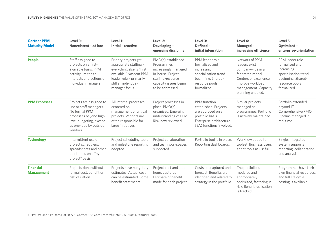| <b>Gartner PPM</b><br><b>Maturity Model</b> | Level 0:<br>Nonexistent - ad hoc                                                                                                                                | Level 1:<br><b>Initial - reactive</b>                                                                                                                                        | Level 2:<br>Developing -<br>emerging discipline                                                                                                  | Level 3:<br><b>Defined -</b><br>initial integration                                                                                   | Level 4:<br>Managed -<br>increasing efficiency                                                                                                                    | Level 5:<br><b>Optimized -</b><br>enterprise-orientation                                                                       |
|---------------------------------------------|-----------------------------------------------------------------------------------------------------------------------------------------------------------------|------------------------------------------------------------------------------------------------------------------------------------------------------------------------------|--------------------------------------------------------------------------------------------------------------------------------------------------|---------------------------------------------------------------------------------------------------------------------------------------|-------------------------------------------------------------------------------------------------------------------------------------------------------------------|--------------------------------------------------------------------------------------------------------------------------------|
| <b>People</b>                               | Staff assigned to<br>projects on a first-<br>available basis. PPM<br>activity limited to<br>interests and actions of<br>individual managers.                    | Priority projects get<br>appropriate staffing -<br>everything else is "first<br>available." Nascent PPM<br>leader role - primarily<br>still an individual-<br>manager focus. | PMO(s) established.<br>Programmes<br>increasingly managed<br>in-house. Project<br>staffing/resource<br>capacity issues begin<br>to be addressed. | PPM leader role<br>formalised and<br>increasing<br>specialisation trend<br>beginning. Shared-<br>resource pools<br>formalized.        | Network of PPM<br>leaders exist<br>companywide in a<br>federated model.<br>Centers of excellence<br>improve workload<br>management. Capacity<br>planning enabled. | PPM leader role<br>formalised and<br>increasing<br>specialisation trend<br>beginning. Shared-<br>resource pools<br>formalized. |
| <b>PPM Processes</b>                        | Projects are assigned to<br>line or staff managers.<br>No formal PPM<br>processes beyond high-<br>level budgeting, except<br>as provided by outside<br>vendors. | All internal processes<br>centered on<br>management of critical<br>projects. Vendors are<br>often responsible for<br>large initiatives.                                      | Project processes in<br>place. PMO(s)<br>organised. Emerging<br>understanding of PPM.<br>Risk now reviewed.                                      | PPM function<br>established. Projects<br>are approved on a<br>portfolio basis.<br>Enterprise architecture<br>(EA) functions involved. | Similar projects<br>managed as<br>programmes. Portfolio<br>is actively maintained.                                                                                | Portfolio extended<br>beyond IT.<br>Comprehensive PMO.<br>Pipeline managed in<br>real time.                                    |
| <b>Technology</b>                           | Intermittent use of<br>project schedulers,<br>spreadsheets and other<br>point tools on a "by<br>project" basis.                                                 | Project scheduling tools<br>and milestone reporting<br>adopted.                                                                                                              | Project collaboration<br>and team workspaces<br>supported.                                                                                       | Portfolio tool is in place.<br>Reporting dashboards.                                                                                  | Workflow added to<br>toolset. Business users<br>adopt tools as useful.                                                                                            | Single, integrated<br>system supports<br>reporting, collaboration<br>and analysis.                                             |
| <b>Financial</b><br><b>Management</b>       | Projects done without<br>formal cost, benefit or<br>risk valuation.                                                                                             | Projects have budgetary<br>estimates, Actual cost<br>can be estimated. Some<br>benefit statements.                                                                           | Project cost and labor<br>hours captured.<br>Estimate of benefit<br>made for each project.                                                       | Costs are captured and<br>forecast. Benefits are<br>identified and related to<br>strategy in the portfolio.                           | The portfolio is<br>modeled and<br>appropriately<br>optimized, factoring in<br>risk. Benefit realisation<br>is tracked.                                           | Programmes have their<br>own financial resources,<br>and full life cycle<br>costing is available.                              |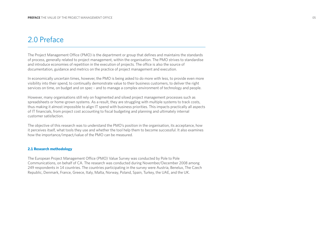# 2.0 Preface

The Project Management Office (PMO) is the department or group that defines and maintains the standards of process, generally related to project management, within the organisation. The PMO strives to standardise and introduce economies of repetition in the execution of projects. The office is also the source of documentation, guidance and metrics on the practice of project management and execution.

In economically uncertain times, however, the PMO is being asked to do more with less, to provide even more visibility into their spend, to continually demonstrate value to their business customers, to deliver the right services on time, on budget and on spec – and to manage a complex environment of technology and people.

However, many organisations still rely on fragmented and siloed project management processes such as spreadsheets or home-grown systems. As a result, they are struggling with multiple systems to track costs, thus making it almost impossible to align IT spend with business priorities. This impacts practically all aspects of IT financials, from project cost accounting to fiscal budgeting and planning and ultimately internal customer satisfaction.

The objective of this research was to understand the PMO's position in the organisation, its acceptance, how it perceives itself, what tools they use and whether the tool help them to become successful. It also examines how the importance/impact/value of the PMO can be measured.

#### **2.1 Research methodology**

The European Project Management Office (PMO) Value Survey was conducted by Pole to Pole Communications, on behalf of CA. The research was conducted during November/December 2008 among 249 respondents in 14 countries. The countries participating in the survey were Austria, Benelux, The Czech Republic, Denmark, France, Greece, Italy, Malta, Norway, Poland, Spain, Turkey, the UAE, and the UK.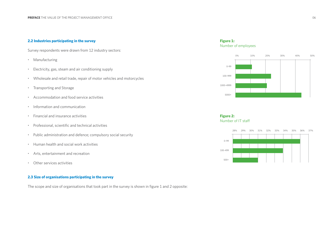# **2.2 Industries participating in the survey**

Survey respondents were drawn from 12 industry sectors:

- •Manufacturing
- •Electricity, gas, steam and air conditioning supply
- •Wholesale and retail trade, repair of motor vehicles and motorcycles
- •Transporting and Storage
- •Accommodation and food service activities
- •Information and communication
- •Financial and insurance activities
- Professional, scientific and technical activities
- •Public administration and defence; compulsory social security
- •Human health and social work activities
- •Arts, entertainment and recreation
- •Other services activities

# **2.3 Size of organisations participating in the survey**

The scope and size of organisations that took part in the survey is shown in figure 1 and 2 opposite:

# **Figure 1:** Number of employees





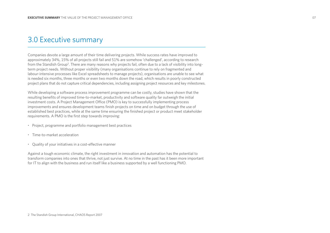# 3.0 Executive summary

Companies devote a large amount of their time delivering projects. While success rates have improved to approximately 34%, 15% of all projects still fail and 51% are somehow 'challenged', according to research from the Standish Group2. There are many reasons why projects fail, often due to a lack of visibility into longterm project needs. Without proper visibility (many organisations continue to rely on fragmented and labour-intensive processes like Excel spreadsheets to manage projects), organisations are unable to see what is needed six months, three months or even two months down the road, which results in poorly constructed project plans that do not capture critical dependencies, including assigning project resources and key milestones.

While developing a software process improvement programme can be costly, studies have shown that the resulting benefits of improved time-to-market, productivity and software quality far outweigh the initial investment costs. A Project Management Office (PMO) is key to successfully implementing process improvements and ensures development teams finish projects on time and on budget through the use of established best practices, while at the same time ensuring the finished project or product meet stakeholder requirements. A PMO is the first step towards improving:

- Project, programme and portfolio management best practices
- Time-to-market acceleration
- Quality of your initiatives in a cost-effective manner

Against a tough economic climate, the right investment in innovation and automation has the potential to transform companies into ones that thrive, not just survive. At no time in the past has it been more important for IT to align with the business and run itself like a business supported by a well functioning PMO.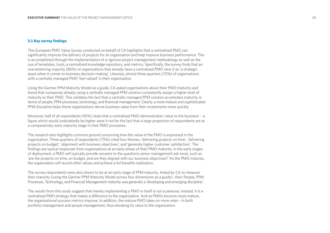#### **3.1 Key survey findings**

This European PMO Value Survey conducted on behalf of CA highlights that a centralised PMO can significantly improve the delivery of projects for an organisation and help improve business performance. This is accomplished through the implementation of a rigorous project management methodology as well as the use of templates, tools, a centralised knowledge repository, and metrics. Specifically, the survey finds that an overwhelming majority (86%) of organisations that already have a centralised PMO view it as 'a strategic asset when it comes to business decision-making'. Likewise, almost three quarters (72%) of organisations with a centrally managed PMO 'feel valued' in their organisation.

Using the Gartner PPM Maturity Model as a guide, CA asked organisations about their PMO maturity and found that companies already using a centrally managed PPM solution consistently assign a higher level of maturity to their PMO. This validates the fact that a centrally managed PPM solution accelerates maturity in terms of people, PPM processes, technology, and financial management. Clearly, a more mature and sophisticated PPM discipline helps those organisations derive business value from their investments more quickly.

Moreover, half of all respondents (50%) state that a centralised PMO demonstrates 'value to the business' – <sup>a</sup> figure which would undoubtedly be higher were it not for the fact that a large proportion of respondents are at a comparatively early maturity stage in their PMO processes.

The research also highlights common ground concerning how the value of the PMO is expressed in the organisation. Three quarters of respondents (75%) cited four themes: 'delivering projects on time', 'delivering projects on budget', 'alignment with business objectives', and 'generate higher customer satisfaction'. The findings are typical responses from organisations at an early phase of their PMO maturity. In the early stages of deployment, a PMO will typically provide answers to the questions senior management ask most, such as 'are the projects on time, on budget, and are they aligned with our business objectives?' As the PMO matures, the organisation will record other values and achieve a full benefits realisation.

The survey respondents were also shown to be at an early stage of PPM maturity. Asked by CA to measure their maturity (using the Gartner PPM Maturity Model across four dimensions as a guide) , their People, PPM Processes, Technology, and Financial Management maturity was generally a 'developing and emerging discipline'.

The results from this study suggest that merely implementing a PMO in itself is not a panacea. Instead, it is a centralised PMO strategy that makes a difference to the organisation. And as PMOs become more mature, the organisational success metrics improve. In addition, the mature PMO takes on more roles – in both portfolio management and people management, thus elevating its value to the organisation.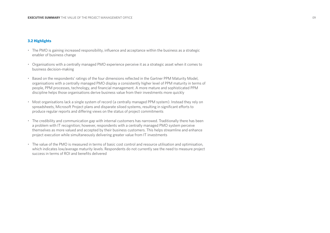#### **3.2 Highlights**

- The PMO is gaining increased responsibility, influence and acceptance within the business as a strategic enabler of business change
- Organisations with a centrally managed PMO experience perceive it as a strategic asset when it comes to business decision-making
- Based on the respondents' ratings of the four dimensions reflected in the Gartner PPM Maturity Model, organisations with a centrally managed PMO display a consistently higher level of PPM maturity in terms of people, PPM processes, technology, and financial management. A more mature and sophisticated PPM discipline helps those organisations derive business value from their investments more quickly
- Most organisations lack a single system of record (a centrally managed PPM system). Instead they rely on spreadsheets, Microsoft Project plans and disparate siloed systems, resulting in significant efforts to produce regular reports and differing views on the status of project commitments
- The credibility and communication gap with internal customers has narrowed. Traditionally there has been a problem with IT recognition; however, respondents with a centrally managed PMO system perceive themselves as more valued and accepted by their business customers. This helps streamline and enhance project execution while simultaneously delivering greater value from IT investments
- The value of the PMO is measured in terms of basic cost control and resource utilisation and optimisation, which indicates low/average maturity levels. Respondents do not currently see the need to measure project success in terms of ROI and benefits delivered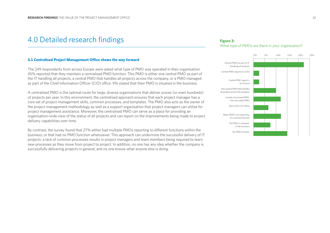# 4.0 Detailed research findings

#### **Figure 3:** What type of PMOs are there in your organisation?



#### **4.1 Centralised Project Management Office shows the way forward**

The 249 respondents from across Europe were asked what type of PMO was operated in their organisation. 45% reported that they maintain a centralised PMO function. This PMO is either one central PMO as part of the IT handling all projects, a central PMO that handles all projects across the company, or a PMO managed as part of the Chief Information Officer (CIO) office. 9% stated that their PMO is situated in the business.

A centralised PMO is the optimal route for large, diverse organisations that deliver scores (or even hundreds) of projects per year. In this environment, the centralised approach ensures that each project manager has a core set of project management skills, common processes, and templates. The PMO also acts as the owner of the project management methodology as well as a support organisation that project managers can utilise for project management assistance. Moreover, the centralised PMO can serve as a place for providing an organisation-wide view of the status of all projects and can report on the improvements being made to project delivery capabilities over time.

By contrast, the survey found that 27% either had multiple PMOs reporting to different functions within the business; or that had no PMO function whatsoever. This approach can undermine the successful delivery of IT projects: a lack of common processes results in project managers and team members being required to learn new processes as they move from project to project. In addition, no one has any idea whether the company is successfully delivering projects in general, and no one knows what anyone else is doing.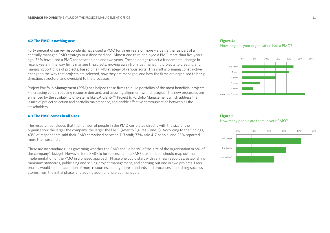# **4.2 The PMO is nothing new**

Forty percent of survey respondents have used a PMO for three years or more – albeit either as part of a centrally managed PMO strategy or a dispersed one. Almost one third deployed a PMO more than five years ago. 36% have used a PMO for between one and two years. These findings reflect a fundamental change in recent years in the way firms manage IT projects: moving away from just managing projects to creating and managing portfolios of projects, based on a PMO strategy of various sorts. This shift is bringing constructive change to the way that projects are selected, how they are managed, and how the firms are organised to bring direction, structure, and oversight to the processes.

Project Portfolio Management (PPM) has helped these firms to build portfolios of the most beneficial projects – increasing value, reducing resource demand, and assuring alignment with strategies. The new processes are enhanced by the availability of systems like CA Clarity™ Project & Portfolio Management which address the issues of project selection and portfolio maintenance, and enable effective communication between all the stakeholders.

## **4.3 The PMO comes in all sizes**

The research concludes that the number of people in the PMO correlates directly with the size of the organisation: the larger the company, the larger the PMO (refer to Figures 2 and 3). According to the findings, 43% of respondents said their PMO comprised between 1-3 staff; 33% said 4-7 people; and 25% reported more than seven staff.

There are no standard rules governing whether the PMO should be x% of the size of the organisation or y% of the company's budget. However, for a PMO to be successful, the PMO stakeholders should map out the implementation of the PMO in a phased approach. Phase one could start with very few resources, establishing minimum standards, publicising and selling project management, and carrying out one or two projects. Later phases would see the adoption of more resources, adding more standards and processes, publishing success stories from the initial phase, and adding additional project managers.

#### **Figure 4:**  How long has your organisation had a PMO?



## **Figure 5:** How many people are there in your PMO?

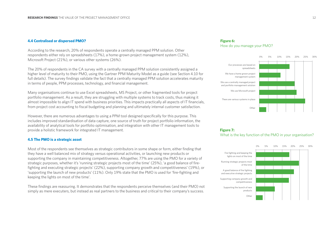#### **4.4 Centralised or dispersed PMO?**

According to the research, 20% of respondents operate a centrally managed PPM solution. Other respondents either rely on spreadsheets (17%), a home-grown project management system (12%), Microsoft Project (21%), or various other systems (26%).

The 20% of respondents in the CA survey with a centrally managed PPM solution consistently assigned a higher level of maturity to their PMO, using the Gartner PPM Maturity Model as a guide (see Section 4.10 for full details). The survey findings validate the fact that a centrally managed PPM solution accelerates maturity in terms of people, PPM processes, technology, and financial management.

Many organisations continue to use Excel spreadsheets, MS Project, or other fragmented tools for project portfolio management. As a result, they are struggling with multiple systems to track costs, thus making it almost impossible to align IT spend with business priorities. This impacts practically all aspects of IT financials, from project cost accounting to fiscal budgeting and planning and ultimately internal customer satisfaction.

However, there are numerous advantages to using a PPM tool designed specifically for this purpose. This includes improved standardisation of data capture, one source of truth for project portfolio information, the availability of analytical tools for portfolio optimisation, and integration with other IT management tools to provide a holistic framework for integrated IT management.

#### **4.5 The PMO is a strategic asset**

Most of the respondents see themselves as strategic contributors in some shape or form, either finding that they have a well balanced mix of strategy versus operational activities, or launching new products or supporting the company in maintaining competitiveness. Altogether, 77% are using the PMO for a variety of strategic purposes, whether it's 'running strategic projects most of the time' (25%), 'a good balance of firefighting and executing strategic projects' (22%), supporting company growth and competitiveness' (19%), or 'supporting the launch of new products' (11%). Only 19% state that the PMO is used for 'fire-fighting and keeping the lights on most of the time'.

These findings are reassuring. It demonstrates that the respondents perceive themselves (and their PMO) not simply as mere executers, but instead as real partners to the business and critical to their company's success.

#### **Figure 6:** How do you manage your PMO?



#### **Figure 7:**  What is the key function of the PMO in your organisation?

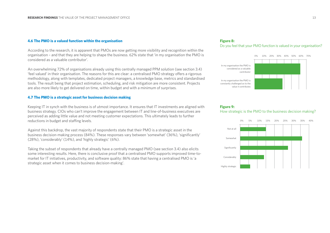## **4.6 The PMO is a valued function within the organisation**

According to the research, it is apparent that PMOs are now getting more visibility and recognition within the organisation – and that they are helping to shape the business. 62% state that 'in my organisation the PMO is considered as a valuable contributor'.

An overwhelming 72% of organisations already using this centrally managed PPM solution (see section 3.4) 'feel valued' in their organisation. The reasons for this are clear: a centralised PMO strategy offers a rigorous methodology, along with templates, dedicated project managers, a knowledge base, metrics and standardised tools. The result being that project estimation, scheduling, and risk mitigation are more consistent. Projects are also more likely to get delivered on time, within budget and with a minimum of surprises.

#### **4.7 The PMO is a strategic asset for business decision making**

Keeping IT in synch with the business is of utmost importance. It ensures that IT investments are aligned with business strategy. CIOs who can't improve the engagement between IT and line-of-business executives are perceived as adding little value and not meeting customer expectations. This ultimately leads to further reductions in budget and staffing levels.

Against this backdrop, the vast majority of respondents state that their PMO is a strategic asset in the business decision-making process (84%). These responses vary between 'somewhat' (36%), 'significantly' (28%), 'considerably' (14%), and 'highly strategic' (6%).

Taking the subset of respondents that already have a centrally managed PMO (see section 3.4) also elicits some interesting results. Here, there is conclusive proof that a centralised PMO supports improved time-tomarket for IT initiatives, productivity, and software quality: 86% state that having a centralised PMO is 'a strategic asset when it comes to business decision-making'.

## **Figure 8:** Do you feel that your PMO function is valued in your organisation?



#### **Figure 9:**

#### How strategic is the PMO to the business decision making?

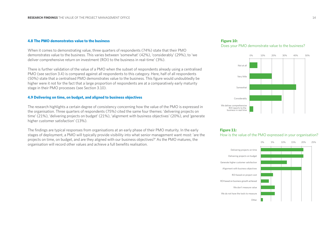## **4.8 The PMO demonstrates value to the business**

When it comes to demonstrating value, three quarters of respondents (74%) state that their PMO demonstrates value to the business. This varies between 'somewhat' (42%), 'considerably' (29%), to 'we deliver comprehensive return on investment (ROI) to the business in real-time' (3%).

There is further validation of the value of a PMO when the subset of respondents already using a centralised PMO (see section 3.4) is compared against all respondents to this category. Here, half of all respondents (50%) state that a centralised PMO demonstrates value to the business. This figure would undoubtedly be higher were it not for the fact that a large proportion of respondents are at a comparatively early maturity stage in their PMO processes (see Section 3.10).

#### **4.9 Delivering on time, on budget, and aligned to business objectives**

The research highlights a certain degree of consistency concerning how the value of the PMO is expressed in the organisation. Three quarters of respondents (75%) cited the same four themes: 'delivering projects on time' (21%), 'delivering projects on budget' (21%), 'alignment with business objectives' (20%), and 'generate higher customer satisfaction' (13%).

The findings are typical responses from organisations at an early phase of their PMO maturity. In the early stages of deployment, a PMO will typically provide visibility into what senior management want most: 'are the projects on time, on budget, and are they aligned with our business objectives?' As the PMO matures, the organisation will record other values and achieve a full benefits realisation.

#### **Figure 10:** Does your PMO demonstrate value to the business?



#### **Figure 11:**

How is the value of the PMO expressed in your organisation?

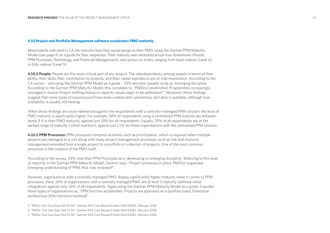#### **4.10 Project and Portfolio Management software accelerates PMO maturity**

Respondents indicated to CA the maturity level they would assign to their PMO, using the Gartner PPM Maturity Model (see page 4) as a guide for their responses. Their maturity was measured across four dimensions (People, PPM Processes, Technology, and Financial Management), and across six levels, ranging from least mature (Level 0), to fully mature (Level 5).

**4.10.1 People:** People are the most critical part of any project. The interdependency among people in terms of their ability, their skills, their contribution to projects, and their career aspirations are of vital importance. According to the CA survey – and using the Gartner PPM Model as a guide – 33% perceive 'people' to be an 'emerging discipline'. According to the Gartner PPM Maturity Model, this correlates to, "PMO(s) established. Programmes increasingly managed in-house. Project staffing/resource capacity issues begin to be addressed3". Moreover, these findings suggest that some types of resource pool have been created and rudimentary skill data is available, although true availability is usually still lacking.

When these findings are cross-referenced against the respondents with a centrally-managed PPM solution, the level of PMO maturity is significantly higher. For example, 58% of respondents using a centralised PPM solution are between levels 3-5 in their PMO maturity, against just 30% for all respondents. Equally, 29% of all respondents are at the earliest stage of maturity ('initial-reactive'), against just 11% for those organisations with the centralised PPM solution.

**4.10.2 PPM Processes:** PPM processes comprise activities such as prioritisation, which is required when multiple projects are managed as a unit along with many project management processes, such as risk and resource management extended from a single project to a portfolio or collection of projects. One of the most common processes is the creation of the PMO itself.

According to the survey, 33% view their PPM Processes as a 'developing or emerging discipline'. Referring to this level of maturity in the Gartner PPM Maturity Model, Gartner says, "Project processes in place. PMO(s) organised. Emerging understanding of PPM. Risk now reviewed<sup>4"</sup>.

However, organisations with a centrally-managed PMO display significantly higher maturity when it comes to PPM processes. Here, 26% of organisations with a centrally managed PMO are at level 3 maturity (defined-initial integration) against only 16% of all respondents. Again using the Gartner PPM Maturity Model as a guide, it quotes these types of organisations as, "PPM function established. Projects are approved on a portfolio basis. Enterprise architecture (EA) functions involved<sup>5</sup>.

3 "PMOs: One Size Does Not Fit All", Gartner RAS Core Research Note G00155081, February 2008. 4 "PMOs: One Size Does Not Fit All", Gartner RAS Core Research Note G00155081, February 2008. 5 "PMOs: One Size Does Not Fit All", Gartner RAS Core Research Note G00155081, February 2008.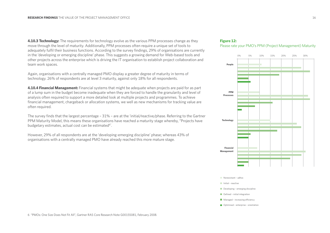**4.10.3 Technology:** The requirements for technology evolve as the various PPM processes change as they move through the level of maturity. Additionally, PPM processes often require a unique set of tools to adequately fulfil their business functions. According to the survey findings, 29% of organisations are currently in the 'developing or emerging discipline' phase. This suggests a growing demand for Web-based tools and other projects across the enterprise which is driving the IT organisation to establish project collaboration and team work spaces.

Again, organisations with a centrally managed PMO display a greater degree of maturity in terms of technology. 26% of respondents are at level 3 maturity, against only 18% for all respondents.

**4.10.4 Financial Management:** Financial systems that might be adequate when projects are paid for as part of a lump sum in the budget become inadequate when they are forced to handle the granularity and level of analysis often required to support a more detailed look at multiple projects and programmes. To achieve financial management, chargeback or allocation systems, we well as new mechanisms for tracking value are often required.

The survey finds that the largest percentage – 31% – are at the 'initial/reactive/phase. Referring to the Gartner PPM Maturity Model, this means these organisations have reached a maturity stage whereby, "Projects have budgetary estimates, actual cost can be estimated<sup>6"</sup>.

However, 29% of all respondents are at the 'developing-emerging discipline' phase; whereas 43% of organisations with a centrally managed PMO have already reached this more mature stage.

## **Figure 12:** Please rate your PMO's PPM (Project Management) Maturity



#### Nonexistant – adhoc

- Initial reactive
- Developing emerging discipline
- Defined initial integration
- $\blacksquare$  Managed increasing efficiency
- Optimised enterprise orientation